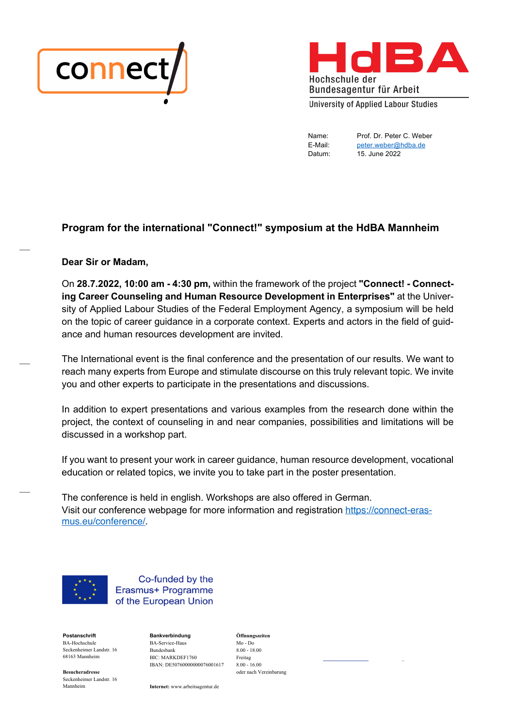



Name: Prof. Dr. Peter C. Weber E-Mail: peter.weber@hdba.de Datum: 15. June 2022

# **Program for the international "Connect!" symposium at the HdBA Mannheim**

#### **Dear Sir or Madam,**

 $\overline{\phantom{a}}$ 

 $\overline{\phantom{a}}$ 

 $\overline{\phantom{a}}$ 

On **28.7.2022, 10:00 am - 4:30 pm,** within the framework of the project **"Connect! - Connecting Career Counseling and Human Resource Development in Enterprises"** at the University of Applied Labour Studies of the Federal Employment Agency, a symposium will be held on the topic of career guidance in a corporate context. Experts and actors in the field of guidance and human resources development are invited.

The International event is the final conference and the presentation of our results. We want to reach many experts from Europe and stimulate discourse on this truly relevant topic. We invite you and other experts to participate in the presentations and discussions.

In addition to expert presentations and various examples from the research done within the project, the context of counseling in and near companies, possibilities and limitations will be discussed in a workshop part.

If you want to present your work in career guidance, human resource development, vocational education or related topics, we invite you to take part in the poster presentation.

The conference is held in english. Workshops are also offered in German. Visit our conference webpage for more information and registration https://connect-erasmus.eu/conference/.



Co-funded by the Erasmus+ Programme of the European Union

**Postanschrift Bankverbindung Öffnungszeiten** BA-Hochschule Seckenheimer Landstr. 16 68163 Mannheim

BA-Service-Haus Mo - Do Bundesbank 8.00 - 18.00 BIC: MARKDEF1760 Freitag IBAN: DE50760000000076001617 8.00 - 16.00

**Besucheradresse** oder nach Vereinbarung

Seckenheimer Landstr. 16

Internet: www.arbeitsagentur.de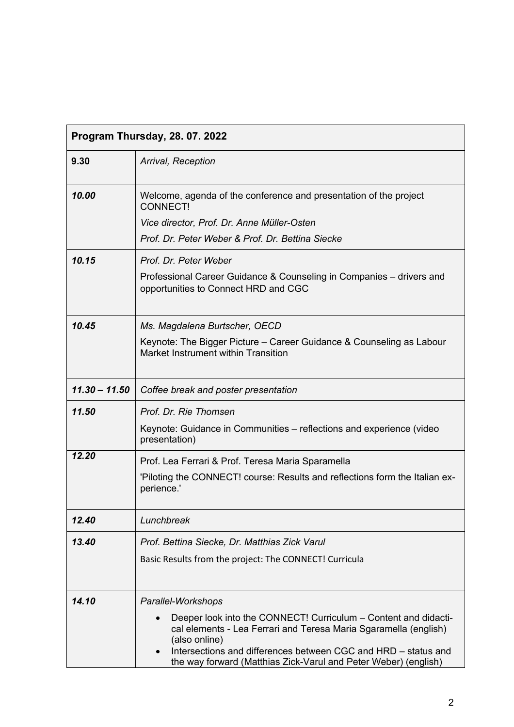| Program Thursday, 28.07.2022 |                                                                                                                                                                                                                                                                                           |
|------------------------------|-------------------------------------------------------------------------------------------------------------------------------------------------------------------------------------------------------------------------------------------------------------------------------------------|
| 9.30                         | Arrival, Reception                                                                                                                                                                                                                                                                        |
| 10.00                        | Welcome, agenda of the conference and presentation of the project<br><b>CONNECT!</b>                                                                                                                                                                                                      |
|                              | Vice director, Prof. Dr. Anne Müller-Osten                                                                                                                                                                                                                                                |
|                              | Prof. Dr. Peter Weber & Prof. Dr. Bettina Siecke                                                                                                                                                                                                                                          |
| 10.15                        | Prof. Dr. Peter Weber                                                                                                                                                                                                                                                                     |
|                              | Professional Career Guidance & Counseling in Companies – drivers and<br>opportunities to Connect HRD and CGC                                                                                                                                                                              |
| 10.45                        | Ms. Magdalena Burtscher, OECD                                                                                                                                                                                                                                                             |
|                              | Keynote: The Bigger Picture - Career Guidance & Counseling as Labour<br>Market Instrument within Transition                                                                                                                                                                               |
| $11.30 - 11.50$              | Coffee break and poster presentation                                                                                                                                                                                                                                                      |
| 11.50                        | Prof. Dr. Rie Thomsen                                                                                                                                                                                                                                                                     |
|                              | Keynote: Guidance in Communities – reflections and experience (video<br>presentation)                                                                                                                                                                                                     |
| 12.20                        | Prof. Lea Ferrari & Prof. Teresa Maria Sparamella                                                                                                                                                                                                                                         |
|                              | 'Piloting the CONNECT! course: Results and reflections form the Italian ex-<br>perience.'                                                                                                                                                                                                 |
| 12.40                        | Lunchbreak                                                                                                                                                                                                                                                                                |
| 13.40                        | Prof. Bettina Siecke, Dr. Matthias Zick Varul                                                                                                                                                                                                                                             |
|                              | Basic Results from the project: The CONNECT! Curricula                                                                                                                                                                                                                                    |
| 14.10                        | Parallel-Workshops                                                                                                                                                                                                                                                                        |
|                              | Deeper look into the CONNECT! Curriculum – Content and didacti-<br>cal elements - Lea Ferrari and Teresa Maria Sgaramella (english)<br>(also online)<br>Intersections and differences between CGC and HRD – status and<br>the way forward (Matthias Zick-Varul and Peter Weber) (english) |